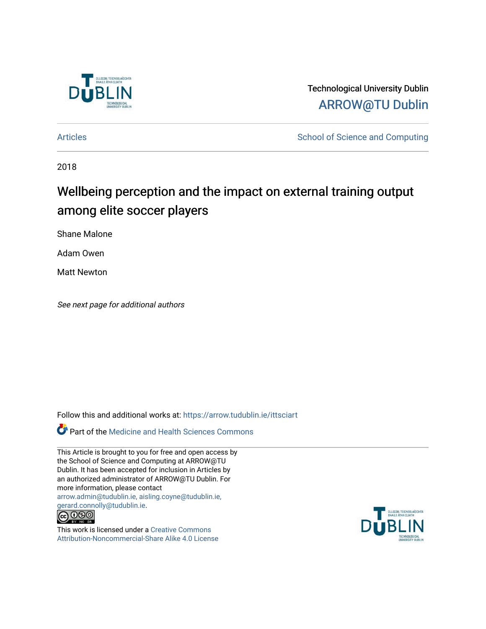

Technological University Dublin [ARROW@TU Dublin](https://arrow.tudublin.ie/) 

[Articles](https://arrow.tudublin.ie/ittsciart) **School of Science and Computing** 

2018

# Wellbeing perception and the impact on external training output among elite soccer players

Shane Malone

Adam Owen

Matt Newton

See next page for additional authors

Follow this and additional works at: [https://arrow.tudublin.ie/ittsciart](https://arrow.tudublin.ie/ittsciart?utm_source=arrow.tudublin.ie%2Fittsciart%2F110&utm_medium=PDF&utm_campaign=PDFCoverPages)

**Part of the Medicine and Health Sciences Commons** 

This Article is brought to you for free and open access by the School of Science and Computing at ARROW@TU Dublin. It has been accepted for inclusion in Articles by an authorized administrator of ARROW@TU Dublin. For more information, please contact [arrow.admin@tudublin.ie, aisling.coyne@tudublin.ie,](mailto:arrow.admin@tudublin.ie,%20aisling.coyne@tudublin.ie,%20gerard.connolly@tudublin.ie)  [gerard.connolly@tudublin.ie](mailto:arrow.admin@tudublin.ie,%20aisling.coyne@tudublin.ie,%20gerard.connolly@tudublin.ie).



This work is licensed under a [Creative Commons](http://creativecommons.org/licenses/by-nc-sa/4.0/) [Attribution-Noncommercial-Share Alike 4.0 License](http://creativecommons.org/licenses/by-nc-sa/4.0/)

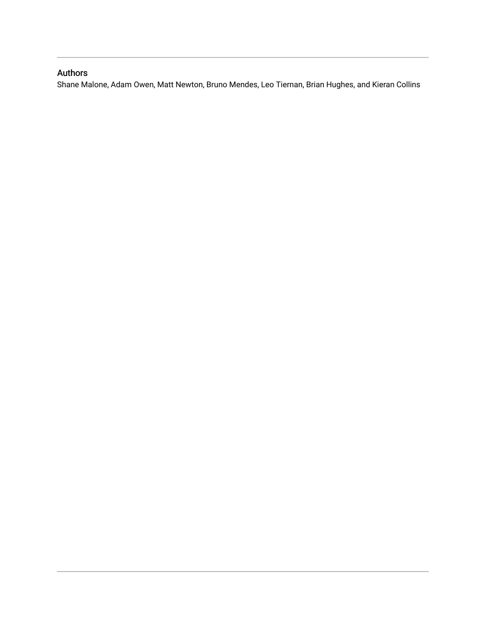# Authors

Shane Malone, Adam Owen, Matt Newton, Bruno Mendes, Leo Tiernan, Brian Hughes, and Kieran Collins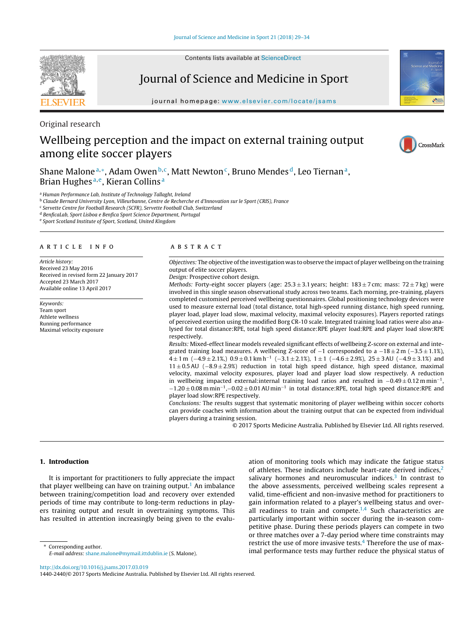Contents lists available at [ScienceDirect](http://www.sciencedirect.com/science/journal/14402440)

# Journal of Science and Medicine in Sport

journal homepage: [www.elsevier.com/locate/jsams](http://www.elsevier.com/locate/jsams)

Original research

# Wellbeing perception and the impact on external training output among elite soccer players



Shane Malone<sup>a,∗</sup>, Adam Owen<sup>b,c</sup>, Matt Newton<sup>c</sup>, Bruno Mendes<sup>d</sup>, Leo Tiernan<sup>a</sup>, Brian Hughes<sup>a, e</sup>, Kieran Collins<sup>a</sup>

<sup>a</sup> Human Performance Lab, Institute of Technology Tallaght, Ireland

<sup>b</sup> Claude Bernard University Lyon, Villeurbanne, Centre de Recherche et d'Innovation sur le Sport (CRIS), France

<sup>c</sup> Servette Centre for Football Research (SCFR), Servette Football Club, Switzerland

<sup>d</sup> BenficaLab, Sport Lisboa e Benfica Sport Science Department, Portugal

<sup>e</sup> Sport Scotland Institute of Sport, Scotland, United Kingdom

#### a r t i c l e i n f o

Article history: Received 23 May 2016 Received in revised form 22 January 2017 Accepted 23 March 2017 Available online 13 April 2017

Keywords: Team sport Athlete wellness Running performance Maximal velocity exposure

### A B S T R A C T

Objectives: The objective ofthe investigation was to observe the impact of player wellbeing on the training output of elite soccer players.

Design: Prospective cohort design.

Methods: Forty-eight soccer players (age:  $25.3 \pm 3.1$  years; height:  $183 \pm 7$  cm; mass:  $72 \pm 7$  kg) were involved in this single season observational study across two teams. Each morning, pre-training, players completed customised perceived wellbeing questionnaires. Global positioning technology devices were used to measure external load (total distance, total high-speed running distance, high speed running, player load, player load slow, maximal velocity, maximal velocity exposures). Players reported ratings of perceived exertion using the modified Borg CR-10 scale. Integrated training load ratios were also analysed for total distance:RPE, total high speed distance:RPE player load:RPE and player load slow:RPE respectively.

Results: Mixed-effect linear models revealed significant effects of wellbeing Z-score on external and integrated training load measures. A wellbeing Z-score of  $-1$  corresponded to a  $-18 \pm 2$  m ( $-3.5 \pm 1.1$ %),  $4 \pm 1$  m ( $-4.9 \pm 2.1$ %,)  $0.9 \pm 0.1$  km h<sup>-1</sup> ( $-3.1 \pm 2.1$ %),  $1 \pm 1$  ( $-4.6 \pm 2.9$ %),  $25 \pm 3$  AU ( $-4.9 \pm 3.1$ %) and 11 ± 0.5AU (−8.9 ± 2.9%) reduction in total high speed distance, high speed distance, maximal velocity, maximal velocity exposures, player load and player load slow respectively. A reduction in wellbeing impacted external:internal training load ratios and resulted in <sup>−</sup>0.49 <sup>±</sup> 0.12 <sup>m</sup> min−1,  $-1.20 \pm 0.08$  m min<sup>-1</sup>, $-0.02 \pm 0.01$  AU min<sup>-1</sup> in total distance:RPE, total high speed distance:RPE and player load slow:RPE respectively.

Conclusions: The results suggest that systematic monitoring of player wellbeing within soccer cohorts can provide coaches with information about the training output that can be expected from individual players during a training session.

© 2017 Sports Medicine Australia. Published by Elsevier Ltd. All rights reserved.

#### **1. Introduction**

It is important for practitioners to fully appreciate the impact that player wellbeing can have on training output.<sup>[1](#page-7-0)</sup> An imbalance between training/competition load and recovery over extended periods of time may contribute to long-term reductions in players training output and result in overtraining symptoms. This has resulted in attention increasingly being given to the evalu-

∗ Corresponding author. E-mail address: [shane.malone@mymail.ittdublin.ie](mailto:shane.malone@mymail.ittdublin.ie) (S. Malone).

ation of monitoring tools which may indicate the fatigue status of athletes. These indicators include heart-rate derived indices, $<sup>2</sup>$  $<sup>2</sup>$  $<sup>2</sup>$ </sup> salivary hormones and neuromuscular indices.<sup>[3](#page-7-0)</sup> In contrast to the above assessments, perceived wellbeing scales represent a valid, time-efficient and non-invasive method for practitioners to gain information related to a player's wellbeing status and overall readiness to train and compete. $1,4$  Such characteristics are particularly important within soccer during the in-season competitive phase. During these periods players can compete in two or three matches over a 7-day period where time constraints may restrict the use of more invasive tests.<sup>4</sup> Therefore the use of maximal performance tests may further reduce the physical status of

[http://dx.doi.org/10.1016/j.jsams.2017.03.019](dx.doi.org/10.1016/j.jsams.2017.03.019)

1440-2440/© 2017 Sports Medicine Australia. Published by Elsevier Ltd. All rights reserved.

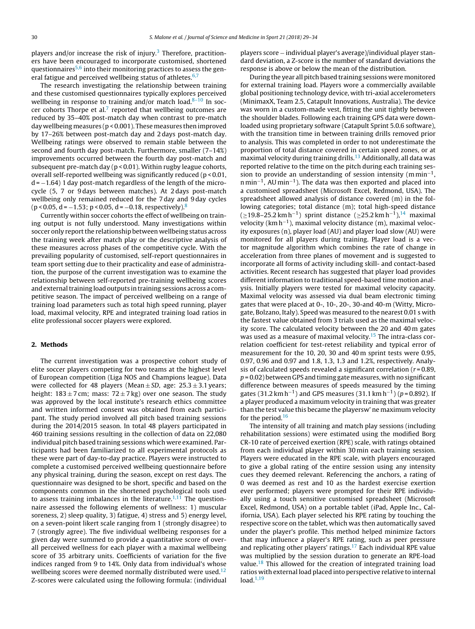players and/or increase the risk of injury.<sup>[3](#page-7-0)</sup> Therefore, practitioners have been encouraged to incorporate customised, shortened questionnaires $5,6$  into their monitoring practices to assess the general fatigue and perceived wellbeing status of athletes. $6,7$ 

The research investigating the relationship between training and these customised questionnaires typically explores perceived wellbeing in response to training and/or match load. $8-10$  In soccer cohorts Thorpe et al. $7$  reported that wellbeing outcomes are reduced by 35–40% post-match day when contrast to pre-match day wellbeing measures (p < 0.001). These measures then improved by 17–26% between post-match day and 2 days post-match day. Wellbeing ratings were observed to remain stable between the second and fourth day post-match. Furthermore, smaller (7–14%) improvements occurred between the fourth day post-match and subsequent pre-match day (p < 0.01). Within rugby league cohorts, overall self-reported wellbeing was significantly reduced (p < 0.01,  $d = -1.64$ ) 1 day post-match regardless of the length of the microcycle (5, 7 or 9 days between matches). At 2 days post-match wellbeing only remained reduced for the 7 day and 9 day cycles  $(p < 0.05, d = -1.53; p < 0.05, d = -0.18, respectively).$  $(p < 0.05, d = -1.53; p < 0.05, d = -0.18, respectively).$  $(p < 0.05, d = -1.53; p < 0.05, d = -0.18, respectively).$ <sup>8</sup>

Currently within soccer cohorts the effect of wellbeing on training output is not fully understood. Many investigations within soccer only report the relationship between wellbeing status across the training week after match play or the descriptive analysis of these measures across phases of the competitive cycle. With the prevailing popularity of customised, self-report questionnaires in team sport setting due to their practicality and ease of administration, the purpose of the current investigation was to examine the relationship between self-reported pre-training wellbeing scores and external training load outputs in training sessions across a competitive season. The impact of perceived wellbeing on a range of training load parameters such as total high speed running, player load, maximal velocity, RPE and integrated training load ratios in elite professional soccer players were explored.

#### **2. Methods**

The current investigation was a prospective cohort study of elite soccer players competing for two teams at the highest level of European competition (Liga NOS and Champions league). Data were collected for 48 players (Mean  $\pm SD$ , age: 25.3  $\pm 3.1$  years; height:  $183 \pm 7$  cm; mass:  $72 \pm 7$  kg) over one season. The study was approved by the local institute's research ethics committee and written informed consent was obtained from each participant. The study period involved all pitch based training sessions during the 2014/2015 season. In total 48 players participated in 460 training sessions resulting in the collection of data on 22,080 individual pitch based training sessions which were examined. Participants had been familiarized to all experimental protocols as these were part of day-to-day practice. Players were instructed to complete a customised perceived wellbeing questionnaire before any physical training, during the season, except on rest days. The questionnaire was designed to be short, specific and based on the components common in the shortened psychological tools used to assess training imbalances in the literature.<sup>[1,11](#page-7-0)</sup> The questionnaire assessed the following elements of wellness: 1) muscular soreness, 2) sleep quality, 3) fatigue, 4) stress and 5) energy level, on a seven-point likert scale ranging from 1 (strongly disagree) to 7 (strongly agree). The five individual wellbeing responses for a given day were summed to provide a quantitative score of overall perceived wellness for each player with a maximal wellbeing score of 35 arbitrary units. Coefficients of variation for the five indices ranged from 9 to 14%. Only data from individual's whose wellbeing scores were deemed normally distributed were used. $12$ Z-scores were calculated using the following formula: (individual

players score − individual player's average)/individual player standard deviation, a Z-score is the number of standard deviations the response is above or below the mean of the distribution.

During the year all pitch based training sessions were monitored for external training load. Players wore a commercially available global positioning technology device, with tri-axial accelerometers (MinimaxX, Team 2.5, Catapult Innovations, Australia). The device was worn in a custom-made vest, fitting the unit tightly between the shoulder blades. Following each training GPS data were downloaded using proprietary software (Catapult Sprint 5.0.6 software), with the transition time in between training drills removed prior to analysis. This was completed in order to not underestimate the proportion of total distance covered in certain speed zones, or at maximal velocity during training drills.<sup>[13](#page-7-0)</sup> Additionally, all data was reported relative to the time on the pitch during each training session to provide an understanding of session intensity (m min<sup>-1</sup>,  $n \text{min}^{-1}$ , AU min<sup>-1</sup>). The data was then exported and placed into a customised spreadsheet (Microsoft Excel, Redmond, USA). The spreadsheet allowed analysis of distance covered (m) in the following categories; total distance (m); total high-speed distance  $(≥19.8–25.2 km h<sup>-1</sup>)$  sprint distance  $(≥25.2 km h<sup>-1</sup>)<sup>14</sup>$  maximal velocity (km h−1), maximal velocity distance (m), maximal velocity exposures (n), player load (AU) and player load slow (AU) were monitored for all players during training. Player load is a vector magnitude algorithm which combines the rate of change in acceleration from three planes of movement and is suggested to incorporate all forms of activity including skill- and contact-based activities. Recent research has suggested that player load provides different information to traditional speed-based time motion analysis. Initially players were tested for maximal velocity capacity. Maximal velocity was assessed via dual beam electronic timing gates that were placed at 0-, 10-, 20-, 30-and 40-m (Witty, Microgate, Bolzano, Italy). Speed was measured to the nearest 0.01 s with the fastest value obtained from 3 trials used as the maximal velocity score. The calculated velocity between the 20 and 40 m gates was used as a measure of maximal velocity.<sup>[15](#page-7-0)</sup> The intra-class correlation coefficient for test-retest reliability and typical error of measurement for the 10, 20, 30 and 40 m sprint tests were 0.95, 0.97, 0.96 and 0.97 and 1.8, 1.3, 1.3 and 1.2%, respectively. Analysis of calculated speeds revealed a significant correlation ( $r = 0.89$ ,  $p = 0.02$ ) between GPS and timing gate measures, with no significant difference between measures of speeds measured by the timing gates (31.2 km h<sup>-1</sup>) and GPS measures (31.1 km h<sup>-1</sup>) (p = 0.892). If a player produced a maximum velocity in training that was greater than the test value this became the playersw' ne maximum velocity for the period. $16$ 

The intensity of all training and match play sessions (including rehabilitation sessions) were estimated using the modified Borg CR-10 rate of perceived exertion (RPE) scale, with ratings obtained from each individual player within 30 min each training session. Players were educated in the RPE scale, with players encouraged to give a global rating of the entire session using any intensity cues they deemed relevant. Referencing the anchors, a rating of 0 was deemed as rest and 10 as the hardest exercise exertion ever performed; players were prompted for their RPE individually using a touch sensitive customised spreadsheet (Microsoft Excel, Redmond, USA) on a portable tablet (iPad, Apple Inc., California, USA). Each player selected his RPE rating by touching the respective score on the tablet, which was then automatically saved under the player's profile. This method helped minimize factors that may influence a player's RPE rating, such as peer pressure and replicating other players' ratings.<sup>17</sup> Each individual RPE value was multiplied by the session duration to generate an RPE-load value.<sup>[18](#page-7-0)</sup> This allowed for the creation of integrated training load ratios with external load placed into perspective relative to internal  $load.<sup>1,19</sup>$  $load.<sup>1,19</sup>$  $load.<sup>1,19</sup>$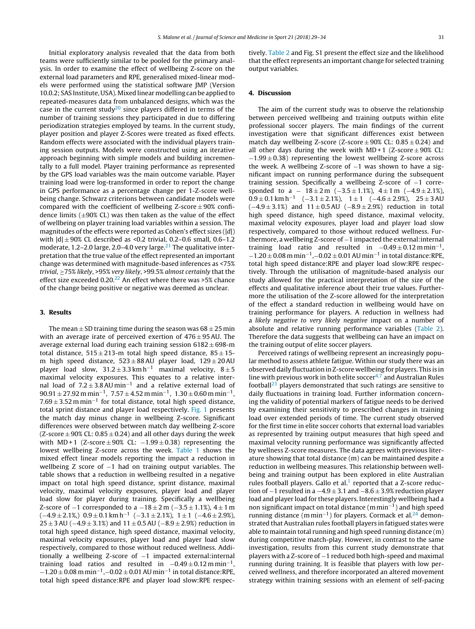Initial exploratory analysis revealed that the data from both teams were sufficiently similar to be pooled for the primary analysis. In order to examine the effect of wellbeing Z-score on the external load parameters and RPE, generalised mixed-linear models were performed using the statistical software JMP (Version 10.0.2; SAS Institute, USA). Mixed linear modelling can be applied to repeated-measures data from unbalanced designs, which was the case in the current study<sup>[20](#page-7-0)</sup> since players differed in terms of the number of training sessions they participated in due to differing periodization strategies employed by teams. In the current study, player position and player Z-Scores were treated as fixed effects. Random effects were associated with the individual players training session outputs. Models were constructed using an iterative approach beginning with simple models and building incrementally to a full model. Player training performance as represented by the GPS load variables was the main outcome variable. Player training load were log-transformed in order to report the change in GPS performance as a percentage change per 1-Z-score wellbeing change. Schwarz criterions between candidate models were compared with the coefficient of wellbeing Z-score  $\pm$  90% confidence limits  $(\pm 90\% \text{ CL})$  was then taken as the value of the effect of wellbeing on player training load variables within a session. The magnitudes of the effects were reported as Cohen's effect sizes  $(|d|)$ with  $|d| \pm 90\%$  CL described as <0.2 trivial, 0.2–0.6 small, 0.6–1.2 moderate, 1.2-2.0 large, 2.0-4.0 very large.<sup>[21](#page-7-0)</sup> The qualitative interpretation that the true value of the effect represented an important change was determined with magnitude-based inferences as <75% trivial, ≥75% likely, >95% very likely, >99.5% almost certainly that the effect size exceeded  $0.20^{22}$  An effect where there was >5% chance of the change being positive or negative was deemed as unclear.

## **3. Results**

The mean  $\pm$  SD training time during the season was 68  $\pm$  25 min with an average irate of perceived exertion of  $476 \pm 95$  AU. The average external load during each training session  $6182 \pm 698$ -m total distance,  $515 \pm 213$ -m total high speed distance,  $85 \pm 15$ m high speed distance,  $523 \pm 88$  AU player load,  $129 \pm 20$  AU player load slow,  $31.2 \pm 3.3 \text{ km h}^{-1}$  maximal velocity,  $8 \pm 5$ maximal velocity exposures. This equates to a relative internal load of 7.2 <sup>±</sup> 3.8AU min−<sup>1</sup> and <sup>a</sup> relative external load of  $90.91 \pm 27.92$  m min<sup>-1</sup>,  $7.57 \pm 4.52$  m min<sup>-1</sup>,  $1.30 \pm 0.60$  m min<sup>-1</sup>,  $7.69 \pm 3.52$  m min<sup>-1</sup> for total distance, total high speed distance, total sprint distance and player load respectively. [Fig.](#page-5-0) 1 presents the match day minus change in wellbeing Z-score. Significant differences were observed between match day wellbeing Z-score (Z-score  $\pm$  90% CL: 0.85  $\pm$  0.24) and all other days during the week with MD + 1 (Z-score  $\pm 90\%$  CL:  $-1.99 \pm 0.38$ ) representing the lowest wellbeing Z-score across the week. [Table](#page-5-0) 1 shows the mixed effect linear models reporting the impact a reduction in wellbeing Z score of −1 had on training output variables. The table shows that a reduction in wellbeing resulted in a negative impact on total high speed distance, sprint distance, maximal velocity, maximal velocity exposures, player load and player load slow for player during training. Specifically a wellbeing Z-score of  $-1$  corresponded to a  $-18 \pm 2$  m ( $-3.5 \pm 1.1$ %), 4  $\pm 1$  m  $(-4.9 \pm 2.1\%)$  0.9  $\pm$  0.1 km h<sup>-1</sup> (-3.1  $\pm$  2.1%), 1  $\pm$  1 (-4.6  $\pm$  2.9%),  $25 \pm 3$  AU ( $-4.9 \pm 3.1$ %) and  $11 \pm 0.5$  AU ( $-8.9 \pm 2.9$ %) reduction in total high speed distance, high speed distance, maximal velocity, maximal velocity exposures, player load and player load slow respectively, compared to those without reduced wellness. Additionally a wellbeing Z-score of −1 impacted external:internal training load ratios and resulted in  $-0.49 \pm 0.12$  m min<sup>-1</sup>.  $-1.20\pm0.08$  m min<sup>-1</sup>, $-0.02\pm0.01$  AU min<sup>-1</sup> in total distance:RPE, total high speed distance:RPE and player load slow:RPE respectively. [Table](#page-5-0) 2 and Fig. S1 present the effect size and the likelihood that the effect represents an important change for selected training output variables.

# **4. Discussion**

The aim of the current study was to observe the relationship between perceived wellbeing and training outputs within elite professional soccer players. The main findings of the current investigation were that significant differences exist between match day wellbeing Z-score (Z-score  $\pm 90\%$  CL:  $0.85 \pm 0.24$ ) and all other days during the week with  $MD + 1$  (Z-score  $\pm 90\%$  CL:  $-1.99 \pm 0.38$ ) representing the lowest wellbeing Z-score across the week. A wellbeing Z-score of  $-1$  was shown to have a significant impact on running performance during the subsequent training session. Specifically a wellbeing Z-score of −1 corresponded to a  $-18 \pm 2$  m ( $-3.5 \pm 1.1$ %),  $4 \pm 1$  m ( $-4.9 \pm 2.1$ %),  $0.9 \pm 0.1$  km h<sup>-1</sup> (-3.1 ± 2.1%), 1 ± 1 (-4.6 ± 2.9%), 25 ± 3 AU  $(-4.9 \pm 3.1\%)$  and  $11 \pm 0.5$  AU  $(-8.9 \pm 2.9\%)$  reduction in total high speed distance, high speed distance, maximal velocity, maximal velocity exposures, player load and player load slow respectively, compared to those without reduced wellness. Furthermore, a wellbeing Z-score of −1 impacted the external:internal training load ratio and resulted in  $-0.49 \pm 0.12$  m min<sup>-1</sup>,  $-1.20 \pm 0.08$  m min<sup>-1</sup>, $-0.02 \pm 0.01$  AU min<sup>-1</sup> in total distance:RPE, total high speed distance:RPE and player load slow:RPE respectively. Through the utilisation of magnitude-based analysis our study allowed for the practical interpretation of the size of the effects and qualitative inference about their true values. Furthermore the utilisation of the Z-score allowed for the interpretation of the effect a standard reduction in wellbeing would have on training performance for players. A reduction in wellness had a likely negative to very likely negative impact on a number of absolute and relative running performance variables [\(Table](#page-5-0) 2). Therefore the data suggests that wellbeing can have an impact on the training output of elite soccer players.

Perceived ratings of wellbeing represent an increasingly popular method to assess athlete fatigue. Within our study there was an observed daily fluctuation in Z-score wellbeing for players. This is in line with previous work in both elite soccer<sup>4,7</sup> and Australian Rules football<sup>[23](#page-7-0)</sup> players demonstrated that such ratings are sensitive to daily fluctuations in training load. Further information concerning the validity of potential markers of fatigue needs to be derived by examining their sensitivity to prescribed changes in training load over extended periods of time. The current study observed for the first time in elite soccer cohorts that external load variables as represented by training output measures that high speed and maximal velocity running performance was significantly affected by wellness Z-score measures. The data agrees with previous literature showing that total distance (m) can be maintained despite a reduction in wellbeing measures. This relationship between wellbeing and training output has been explored in elite Australian rules football players. Gallo et al. $1$  reported that a Z-score reduction of  $-1$  resulted in a  $-4.9 \pm 3.1$  and  $-8.6 \pm 3.9$ % reduction player load and player load for these players. Interestingly wellbeing had a non significant impact on total distance (m min<sup>-1</sup>) and high speed running distance (m min<sup>-1</sup>) for players. Cormack et al.<sup>24</sup> demonstrated that Australian rules football players in fatigued states were able to maintain total running and high speed running distance (m) during competitive match-play. However, in contrast to the same investigation, results from this current study demonstrate that players with a Z-score of −1 reduced both high-speed and maximal running during training. It is feasible that players with low perceived wellness, and therefore incorporated an altered movement strategy within training sessions with an element of self-pacing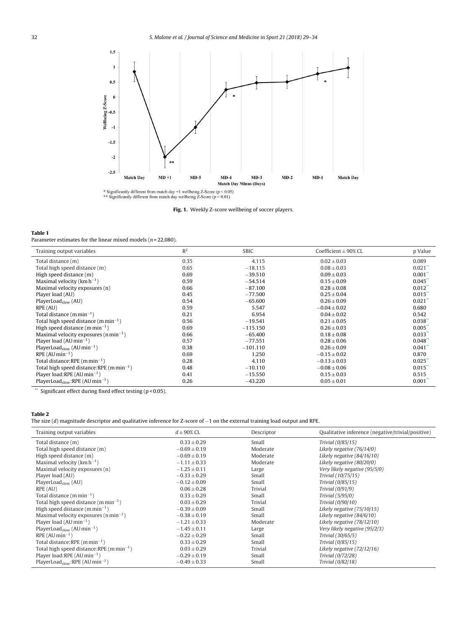<span id="page-5-0"></span>

\* Significantly different from match day +1 wellbeing Z-Score ( $p < 0.05$ ) \*\* Significantly different from match day wellbeing Z-Score ( $p < 0.01$ )

**Fig. 1.** Weekly Z-score wellbeing of soccer players.

#### **Table 1**

Parameter estimates for the linear mixed models ( $n$  = 22,080).

| Training output variables                               | R <sup>2</sup> | <b>SBIC</b> | Coefficient $\pm$ 90% CL | p Value               |
|---------------------------------------------------------|----------------|-------------|--------------------------|-----------------------|
| Total distance (m)                                      | 0.35           | 4.115       | $0.02 \pm 0.03$          | 0.089                 |
| Total high speed distance (m)                           | 0.65           | $-18.115$   | $0.08 \pm 0.03$          | $0.021$ <sup>**</sup> |
| High speed distance (m)                                 | 0.69           | $-39.510$   | $0.09 \pm 0.03$          | $0.001$ <sup>**</sup> |
| Maximal velocity ( $km h^{-1}$ )                        | 0.59           | $-54.514$   | $0.15 \pm 0.09$          | $0.045$ **            |
| Maximal velocity exposures (n)                          | 0.66           | $-87.100$   | $0.28 \pm 0.08$          | 0.012                 |
| Player load (AU)                                        | 0.45           | $-77.500$   | $0.25 \pm 0.04$          | $0.015$ <sup>**</sup> |
| $PlaverLoad_{slow}$ (AU)                                | 0.54           | $-65,600$   | $0.26 \pm 0.09$          | $0.021$ <sup>**</sup> |
| RPE (AU)                                                | 0.59           | 5.547       | $-0.04 \pm 0.02$         | 0.680                 |
| Total distance $(mmin^{-1})$                            | 0.21           | 6.954       | $0.04 \pm 0.02$          | 0.542                 |
| Total high speed distance $(m \min^{-1})$               | 0.56           | $-19.541$   | $0.21 \pm 0.05$          | $0.038$ <sup>**</sup> |
| High speed distance $(m \, min^{-1})$                   | 0.69           | $-115.150$  | $0.26 \pm 0.03$          | $0.005$ <sup>**</sup> |
| Maximal velocity exposures $(n \min^{-1})$              | 0.66           | $-65,400$   | $0.18 \pm 0.08$          | 0.033                 |
| Player load ( $AU$ min <sup>-1</sup> )                  | 0.57           | $-77.551$   | $0.28 \pm 0.06$          | 0.048                 |
| PlayerLoad <sub>slow</sub> (AU min <sup>-1</sup> )      | 0.38           | $-101.110$  | $0.26 \pm 0.09$          | $0.041$ <sup>**</sup> |
| $RPE (AU min-1)$                                        | 0.69           | 1.250       | $-0.15 \pm 0.02$         | 0.870                 |
| Total distance: RPE ( $m \text{ min}^{-1}$ )            | 0.28           | 4.110       | $-0.13 \pm 0.03$         | $0.025$ **            |
| Total high speed distance: RPE $(m \, min^{-1})$        | 0.48           | $-10.110$   | $-0.08 \pm 0.06$         | $0.015$ <sup>**</sup> |
| Player load: RPE (AU min <sup>-1</sup> )                | 0.41           | $-15,550$   | $0.15 \pm 0.03$          | 0.515                 |
| PlayerLoad <sub>slow</sub> :RPE (AU min <sup>-1</sup> ) | 0.26           | $-43.220$   | $0.05 \pm 0.01$          | $0.001^*$             |

\*\* Significant effect during fixed effect testing (p < 0.05).

### **Table 2**

The size (d) magnitude descriptor and qualitative inference for Z-score of −1 on the external training load output and RPE.

| Training output variables                               | $d \pm 90\%$ CL  | Descriptor     | Qualitative inference (negative/trivial/positive) |
|---------------------------------------------------------|------------------|----------------|---------------------------------------------------|
| Total distance (m)                                      | $0.33 \pm 0.29$  | Small          | Trivial (0/85/15)                                 |
| Total high speed distance (m)                           | $-0.69 \pm 0.19$ | Moderate       | Likely negative (76/14/0)                         |
| High speed distance (m)                                 | $-0.69 \pm 0.19$ | Moderate       | Likely negative (84/16/10)                        |
| Maximal velocity ( $km h^{-1}$ )                        | $-1.11 \pm 0.33$ | Moderate       | Likely negative (80/20/0)                         |
| Maximal velocity exposures (n)                          | $-1.25 \pm 0.11$ | Large          | Very likely negative (95/5/0)                     |
| Player load (AU)                                        | $-0.33 \pm 0.29$ | Small          | Trivial (10/75/15)                                |
| $PlayerLoad_{slow} (AU)$                                | $-0.12 \pm 0.09$ | Small          | Trivial (0/85/15)                                 |
| RPE (AU)                                                | $0.06 \pm 0.28$  | Trivial        | Trivial (0/91/9)                                  |
| Total distance $(mmin^{-1})$                            | $0.33 + 0.29$    | Small          | Trivial (5/95/0)                                  |
| Total high speed distance $(m \min^{-1})$               | $0.03 \pm 0.29$  | <b>Trivial</b> | Trivial (0/90/10)                                 |
| High speed distance $(m \min^{-1})$                     | $-0.39 \pm 0.09$ | Small          | Likely negative (75/10/15)                        |
| Maximal velocity exposures ( $n \text{ min}^{-1}$ )     | $-0.38 \pm 0.19$ | Small          | Likely negative (84/6/10)                         |
| Player load ( $AU$ min <sup>-1</sup> )                  | $-1.21 \pm 0.33$ | Moderate       | Likely negative (78/12/10)                        |
| PlayerLoad <sub>slow</sub> (AU min <sup>-1</sup> )      | $-1.45 \pm 0.11$ | Large          | Very likely negative (95/2/3)                     |
| $RPE (AU min-1)$                                        | $-0.22 \pm 0.29$ | Small          | Trivial (30/65/5)                                 |
| Total distance: RPE ( $m \text{ min}^{-1}$ )            | $0.33 \pm 0.29$  | Small          | Trivial (0/85/15)                                 |
| Total high speed distance: RPE $(m \, min^{-1})$        | $0.03 \pm 0.29$  | Trivial        | Likely negative (72/12/16)                        |
| Player load: RPE (AU min <sup>-1</sup> )                | $-0.29 \pm 0.19$ | Small          | Trivial (0/72/28)                                 |
| PlayerLoad <sub>slow</sub> :RPE (AU min <sup>-1</sup> ) | $-0.49 \pm 0.33$ | Small          | Trivial (0/82/18)                                 |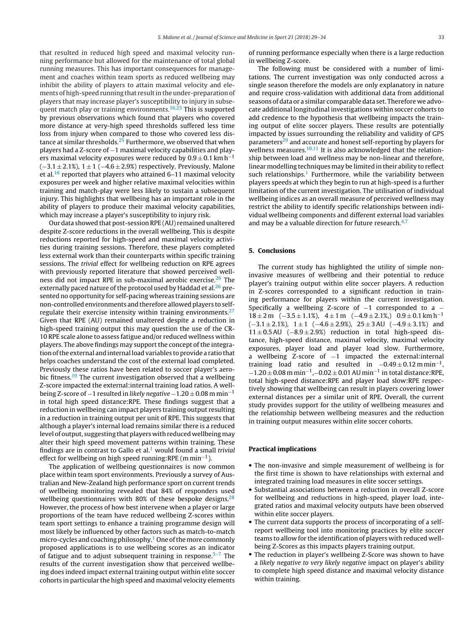that resulted in reduced high speed and maximal velocity running performance but allowed for the maintenance of total global running measures. This has important consequences for management and coaches within team sports as reduced wellbeing may inhibit the ability of players to attain maximal velocity and elements of high-speed running that result in the under-preparation of players that may increase player's susceptibility to injury in subsequent match play or training environments.<sup>16,25</sup> This is supported by previous observations which found that players who covered more distance at very-high speed thresholds suffered less time loss from injury when compared to those who covered less dis-tance at similar thresholds.<sup>[25](#page-7-0)</sup> Furthermore, we observed that when players had a Z-score of −1 maximal velocity capabilities and players maximal velocity exposures were reduced by  $0.9 \pm 0.1$  km h<sup>-1</sup> (−3.1 ± 2.1%),  $1 \pm 1$  (−4.6 ± 2.9%) respectively. Previously, Malone et al.<sup>16</sup> reported that players who attained 6–11 maximal velocity exposures per week and higher relative maximal velocities within training and match-play were less likely to sustain a subsequent injury. This highlights that wellbeing has an important role in the ability of players to produce their maximal velocity capabilities, which may increase a player's susceptibility to injury risk.

Our data showed that post-session RPE (AU) remained unaltered despite Z-score reductions in the overall wellbeing. This is despite reductions reported for high-speed and maximal velocity activities during training sessions. Therefore, these players completed less external work than their counterparts within specific training sessions. The trivial effect for wellbeing reduction on RPE agrees with previously reported literature that showed perceived wellness did not impact RPE in sub-maximal aerobic exercise. $26$  The externally paced nature of the protocol used by Haddad et al. $^{26}$  $^{26}$  $^{26}$  presented no opportunity for self-pacing whereas training sessions are non-controlled environments and therefore allowed players to selfregulate their exercise intensity within training environments. $27$ Given that RPE (AU) remained unaltered despite a reduction in high-speed training output this may question the use of the CR-10 RPE scale alone to assess fatigue and/or reduced wellness within players. The above findings may support the concept of the integrationofthe external andinternalloadvariables toprovide a ratio that helps coaches understand the cost of the external load completed. Previously these ratios have been related to soccer player's aero-bic fitness.<sup>[19](#page-7-0)</sup> The current investigation observed that a wellbeing Z-score impacted the external:internal training load ratios. A wellbeing Z-score of −1 resulted in likely negative  $-1.20 \pm 0.08$  m min<sup>-1</sup> in total high speed distance:RPE. These findings suggest that a reduction in wellbeing can impact players training output resulting in a reduction in training output per unit of RPE. This suggests that although a player's internal load remains similar there is a reduced level of output, suggesting that players with reduced wellbeing may alter their high speed movement patterns within training. These findings are in contrast to Gallo et al.<sup>[1](#page-7-0)</sup> would found a small trivial effect for wellbeing on high speed running:RPE  $(m \text{ min}^{-1})$ .

The application of wellbeing questionnaires is now common place within team sport environments. Previously a survey of Australian and New-Zealand high performance sport on current trends of wellbeing monitoring revealed that 84% of responders used wellbeing questionnaires with 80% of these bespoke designs. $28$ However, the process of how best intervene when a player or large proportions of the team have reduced wellbeing Z-scores within team sport settings to enhance a training programme design will most likely be influenced by other factors such as match-to-match micro-cycles and coaching philosophy.<sup>[1](#page-7-0)</sup> One of the more commonly proposed applications is to use wellbeing scores as an indicator of fatigue and to adjust subsequent training in response. $5-7$  The results of the current investigation show that perceived wellbeing does indeed impact external training output within elite soccer cohorts in particular the high speed and maximal velocity elements of running performance especially when there is a large reduction in wellbeing Z-score.

The following must be considered with a number of limitations. The current investigation was only conducted across a single season therefore the models are only explanatory in nature and require cross-validation with additional data from additional seasons of data or a similar comparable data set. Therefore we advocate additional longitudinal investigations within soccer cohorts to add credence to the hypothesis that wellbeing impacts the training output of elite soccer players. These results are potentially impacted by issues surrounding the reliability and validity of GPS parameters<sup>[29](#page-7-0)</sup> and accurate and honest self-reporting by players for wellness measures.<sup>10,11</sup> It is also acknowledged that the relationship between load and wellness may be non-linear and therefore, linear modelling techniques may be limited in their ability to reflect such relationships.<sup>1</sup> Furthermore, while the variability between players speeds at which they begin to run at high-speed is a further limitation of the current investigation. The utilisation of individual wellbeing indices as an overall measure of perceived wellness may restrict the ability to identify specific relationships between individual wellbeing components and different external load variables and may be a valuable direction for future research. $4,7$ 

### **5. Conclusions**

The current study has highlighted the utility of simple noninvasive measures of wellbeing and their potential to reduce player's training output within elite soccer players. A reduction in Z-scores corresponded to a significant reduction in training performance for players within the current investigation. Specifically a wellbeing Z-score of -1 corresponded to a - $18 \pm 2$  m (-3.5  $\pm$  1.1%), 4  $\pm$  1 m (-4.9  $\pm$  2.1%) 0.9  $\pm$  0.1 km h<sup>-1</sup>  $(-3.1 \pm 2.1\%)$ ,  $1 \pm 1$   $(-4.6 \pm 2.9\%)$ ,  $25 \pm 3$  AU  $(-4.9 \pm 3.1\%)$  and 11 ± 0.5AU (−8.9 ± 2.9%) reduction in total high-speed distance, high-speed distance, maximal velocity, maximal velocity exposures, player load and player load slow. Furthermore, a wellbeing Z-score of −1 impacted the external:internal training load ratio and resulted in  $-0.49 \pm 0.12$  m min<sup>-1</sup>,  $-1.20 \pm 0.08$  m min<sup>-1</sup>, -0.02  $\pm$  0.01 AU min<sup>-1</sup> in total distance:RPE, total high-speed distance:RPE and player load slow:RPE respectively showing that wellbeing can result in players covering lower external distances per a similar unit of RPE. Overall, the current study provides support for the utility of wellbeing measures and the relationship between wellbeing measures and the reduction in training output measures within elite soccer cohorts.

#### **Practical implications**

- The non-invasive and simple measurement of wellbeing is for the first time is shown to have relationships with external and integrated training load measures in elite soccer settings.
- Substantial associations between a reduction in overall Z-score for wellbeing and reductions in high-speed, player load, integrated ratios and maximal velocity outputs have been observed within elite soccer players.
- The current data supports the process of incorporating of a selfreport wellbeing tool into monitoring practices by elite soccer teams to allow for the identification of players with reduced wellbeing Z-Scores as this impacts players training output.
- The reduction in player's wellbeing Z-Score was shown to have a likely negative to very likely negative impact on player's ability to complete high speed distance and maximal velocity distance within training.